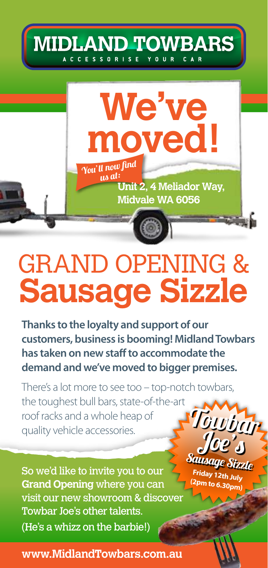



# GRAND OPENING & **Sausage Sizzle**

**Thanks to the loyalty and support of our customers, business is booming! Midland Towbars has taken on new staff to accommodate the demand and we've moved to bigger premises.**

There's a lot more to see too – top-notch towbars, the toughest bull bars, state-of-the-art roof racks and a whole heap of quality vehicle accessories. Towbay Joe's

So we'd like to invite you to our **Grand Opening** where you can visit our new showroom & discover Towbar Joe's other talents. (He's a whizz on the barbie!)

**www.MidlandTowbars.com.au www.MidlandTowbars.com.au**

Sausage Sizzle **Friday 12th July (2pm to 6.30pm)**